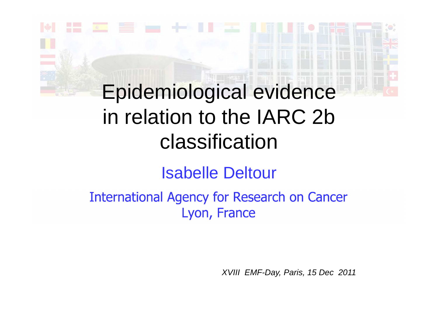# Epidemiological evidence in relation to the IARC 2b classification

Isabelle Deltour

**International Agency for Research on Cancer** Lyon, France

XVIII EMF-Day, Paris, 15 Dec 2011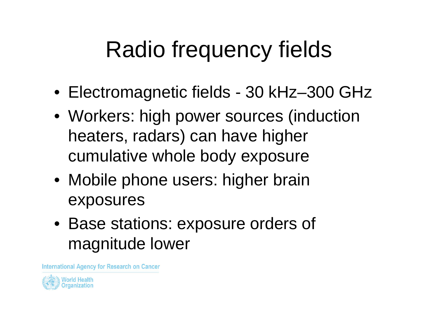# Radio frequency fields

- Electromagnetic fields 30 kHz–300 GHz
- Workers: high power sources (induction heaters, radars) can have higher cumulative whole body exposure
- Mobile phone users: higher brain exposures
- Base stations: exposure orders of magnitude lower

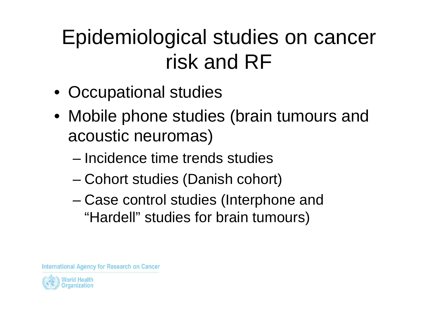# Epidemiological studies on cancer risk and RF

- Occupational studies
- Mobile phone studies (brain tumours and acoustic neuromas)
	- – $-$  Incidence time trends studies
	- and the state of the state Cohort studies (Danish cohort)
	- and the state of the state Case control studies (Interphone and "Hardell" studies for brain tumours)

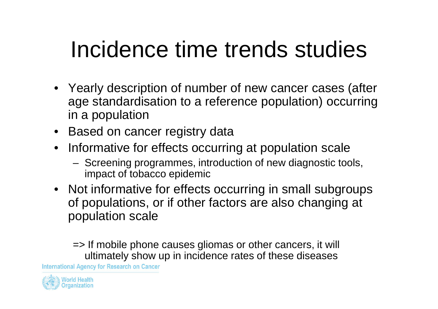# Incidence time trends studies

- Yearly description of number of new cancer cases (after age standardisation to a reference population) occurringin a population
- Based on cancer registry data
- Informative for effects occurring at population scale
	- $-$  Screeping programmes introduction of new diagnostic to Screening programmes, introduction of new diagnostic tools, impact of tobacco epidemic
- Not informative for effects occurring in small subgroups of populations, or if other factors are also changing atpopulation scale

=> If mobile phone causes gliomas or other cancers, it will ultimately show up in incidence rates of these diseases

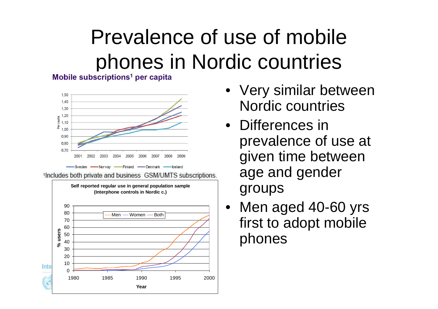# Prevalence of use of mobile phones in Nordic countries



<sup>1</sup>Includes both private and business GSM/UMTS subscriptions.



- Very similar between Nordic countries
- Differences in prevalence of use at given time between age and gender groups
- Men aged 40-60 yrs first to adopt mobile phones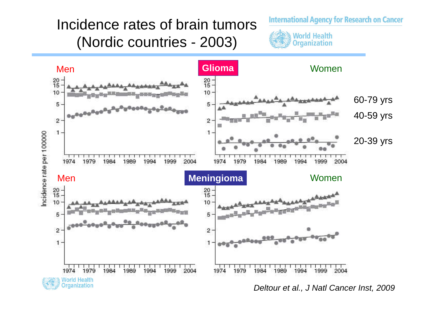### Incidence rates of brain tumors (Nordic countries - 2003)







Deltour et al., J Natl Cancer Inst, 2009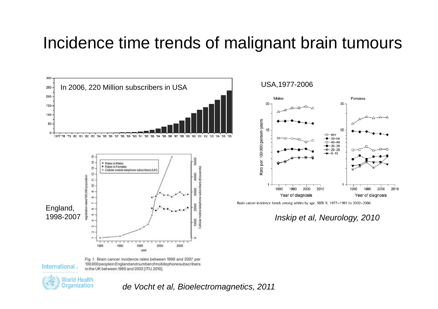### Incidence time trends of malignant brain tumours



International

Fig. 1. Brain cancer incidence rates between 1998 and 2007 per 100,000 people in England and number of mobile phone subscribers in the UK between 1985 and 2003 [ITU, 2010].



de Vocht et al, Bioelectromagnetics, 2011

USA,1977-2006



Brain cancer incidence trends among whites by age, SEER 9, 1977-1981 to 2002-2006.

Inskip et al, Neurology, 2010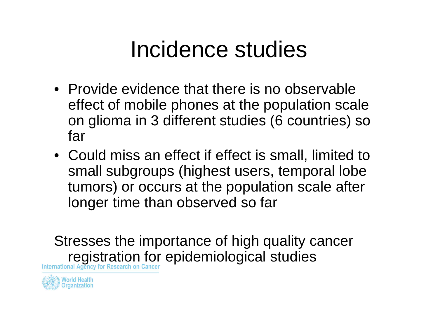# Incidence studies

- Provide evidence that there is no observable effect of mobile phones at the population scale on glioma in 3 different studies (6 countries) so far
- Could miss an effect if effect is small, limited to small subgroups (highest users, temporal lobe tumors) or occurs at the population scale after longer time than observed so far

Stresses the importance of high quality cancer **registration for epidemiological studies** 

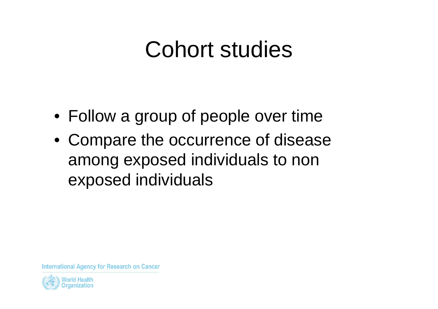# Cohort studies

- Follow a group of people over time
- Compare the occurrence of disease among exposed individuals to non exposed individuals

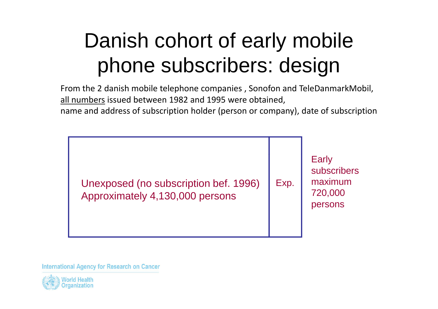# Danish cohort of early mobile phone subscribers: design

 From the 2 danish mobile telephone companies , Sonofon and TeleDanmarkMobil, all numbers issued between 1982 and 1995 were obtained, name and address of subscription holder (person or company), date of subscription

Early Unexposed (no subscription bef. 1996)Approximately 4,130,000 personssubscribersmaximum 720,000 personsExp.

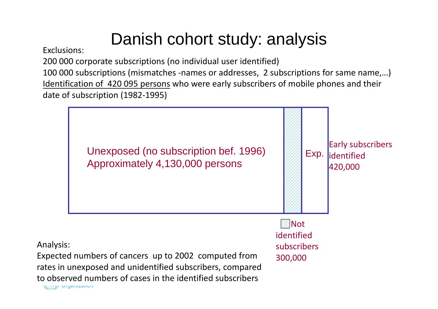### Danish cohort study: analysis

Exclusions:

200 000 corporate subscriptions (no individual user identified)

100 000 subscriptions (mismatches -names or addresses, 2 subscriptions for same name,…)Identification of 420 095 persons who were early subscribers of mobile phones and their date of subscription (1982-1995)

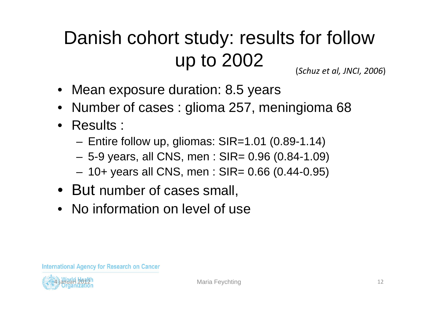### Danish cohort study: results for follow up to 2002(*Schuz et al, JNCI, 2006*)

- Mean exposure duration: 8.5 years
- •Number of cases : glioma 257, meningioma 68
- Results :
	- –Entire follow up, gliomas: SIR=1.01 (0.89-1.14)
	- –5-9 years, all CNS, men : SIR= 0.96 (0.84-1.09)
	- –10+ years all CNS, men : SIR= 0.66 (0.44-0.95)
- But number of cases small,
- No information on level of use

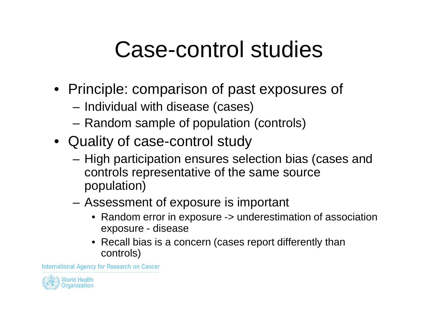# Case-control studies

- Principle: comparison of past exposures of
	- –Individual with disease (cases)
	- **Links of the Company** Random sample of population (controls)
- Quality of case-control study
	- **Links of the Company** - High participation ensures selection bias (cases and controls representative of the same source population)
	- **Links of the Company**  Assessment of exposure is important
		- Random error in exposure -> underestimation of association exposure - disease
		- Recall bias is a concern (cases report differently than controls)

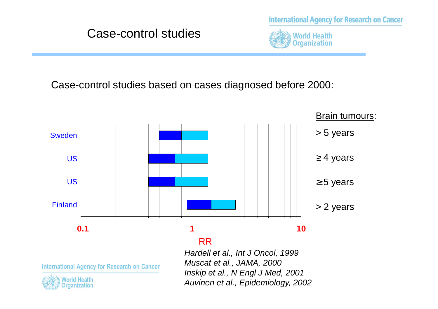**International Agency for Research on Cancer** 



Case-control studies based on cases diagnosed before 2000:



#### RR

International Agency for Research on Cancer



 Hardell et al., Int J Oncol, 1999Muscat et al., JAMA, 2000 Inskip et al., N Engl J Med, 2001Auvinen et al., Epidemiology, 2002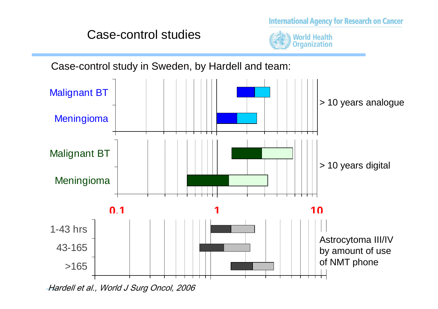#### Case-control studies



**International Agency for Research on Cancer** 

Case-control study in Sweden, by Hardell and team:

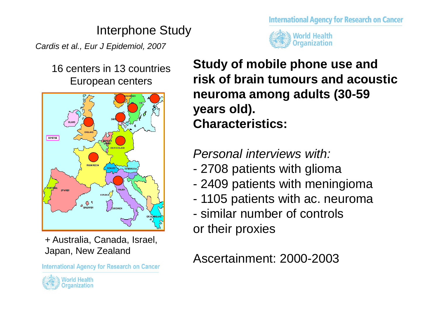### Interphone Study

Cardis et al., Eur J Epidemiol, 2007

16 centers in 13 countriesEuropean centers



+ Australia, Canada, Israel, Japan, New Zealand

**International Agency for Research on Cancer** 



**International Agency for Research on Cancer** 



**Study of mobile phone use and risk of brain tumours and acoustic neuroma among adults (30-59 years old). Characteristics:**

Personal interviews with:

- -2708 patients with glioma
- 2409 nationts with monir 2409 patients with meningioma
- 1105 nationts with ac\_nourom 1105 patients with ac. neuroma
- similar number of controlsor their proxies

Ascertainment: 2000-2003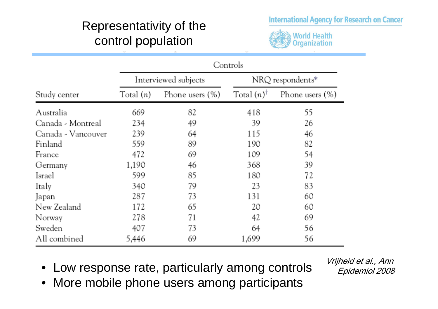#### **International Agency for Research on Cancer**

#### Representativity of the control population



|                    | Controls             |                 |                     |                    |
|--------------------|----------------------|-----------------|---------------------|--------------------|
|                    | Interviewed subjects |                 | NRQ respondents*    |                    |
| Study center       | Total $(n)$          | Phone users (%) | Total $(n)^\dagger$ | Phone users $(\%)$ |
| Australia          | 669                  | 82              | 418                 | 55                 |
| Canada - Montreal  | 234                  | 49              | 39                  | 26                 |
| Canada - Vancouver | 239                  | 64              | 115                 | 46                 |
| Finland            | 559                  | 89              | 190                 | 82                 |
| France             | 472                  | 69              | 109                 | 54                 |
| Germany            | 1,190                | 46              | 368                 | 39                 |
| Israel             | 599                  | 85              | 180                 | 72                 |
| Italy              | 340                  | 79              | 23                  | 83                 |
| Japan              | 287                  | 73              | 131                 | 60                 |
| New Zealand        | 172                  | 65              | 20                  | 60                 |
| Norway             | 278                  | 71              | 42                  | 69                 |
| Sweden             | 407                  | 73              | 64                  | 56                 |
| All combined       | 5,446                | 69              | 1,699               | 56                 |

- Low response rate, particularly among controls
- More mobile phone users among participants

Vrijheid et al., Ann Epidemiol 2008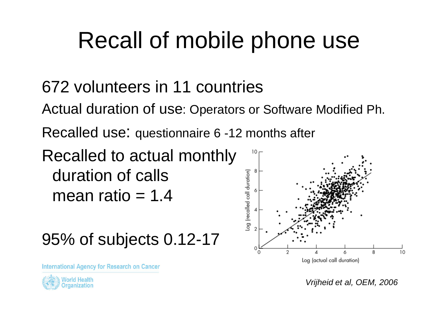# Recall of mobile phone use

### 672 volunteers in 11 countries

Actual duration of use: Operators or Software Modified Ph.

Recalled use: questionnaire 6 -12 months after

Recalled to actual monthly duration of calls mean ratio  $= 1.4$ 

95% of subjects 0.12-17

International Agency for Research on Cancer



Vrijheid et al, OEM, 2006

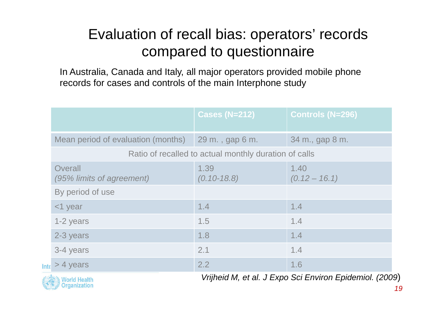### Evaluation of recall bias: operators' records compared to questionnaire

In Australia, Canada and Italy, all major operators provided mobile phonerecords for cases and controls of the main Interphone study

|                                                       | <b>Cases (N=212)</b>    | <b>Controls (N=296)</b> |  |  |
|-------------------------------------------------------|-------------------------|-------------------------|--|--|
| Mean period of evaluation (months)                    | 29 m., gap 6 m.         | 34 m., gap 8 m.         |  |  |
| Ratio of recalled to actual monthly duration of calls |                         |                         |  |  |
| Overall<br>(95% limits of agreement)                  | 1.39<br>$(0.10 - 18.8)$ | 1.40<br>$(0.12 - 16.1)$ |  |  |
| By period of use                                      |                         |                         |  |  |
| $<$ 1 year                                            | 1.4                     | 1.4                     |  |  |
| 1-2 years                                             | 1.5                     | 1.4                     |  |  |
| 2-3 years                                             | 1.8                     | 1.4                     |  |  |
| 3-4 years                                             | 2.1                     | 1.4                     |  |  |
| $> 4$ years<br>Inte                                   | 2.2                     | 1.6                     |  |  |



Vrijheid M, et al. J Expo Sci Environ Epidemiol. (2009)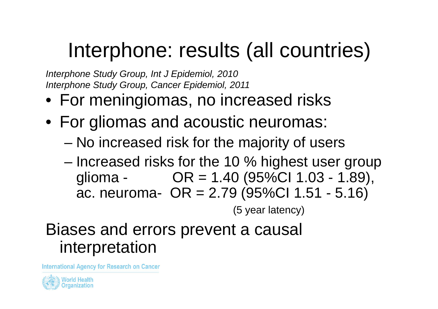## Interphone: results (all countries)

Interphone Study Group, Int J Epidemiol, 2010Interphone Study Group, Cancer Epidemiol, 2011

- For meningiomas, no increased risks
- For gliomas and acoustic neuromas:
	- –No increased risk for the majority of users
	- –- Increased risks for the 10 % highest user group glioma -  $OR = 1.40$  (95%Cl 1.03 - 1.89), ac. neuroma- OR = 2.79 (95%CI 1.51 - 5.16)

(5 year latency)

### Biases and errors prevent a causal interpretation

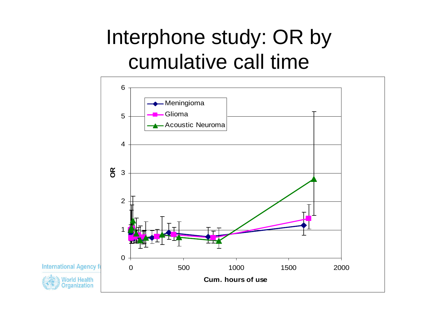# Interphone study: OR by cumulative call time



**International Agency f** 

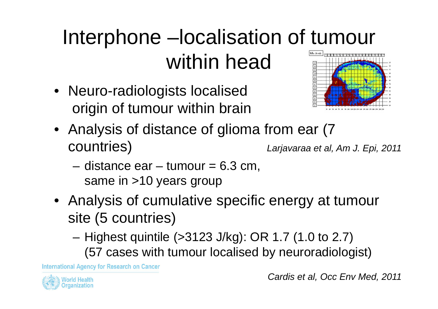# Interphone –localisation of tumour within head

• Neuro-radiologists localisedorigin of tumour within brain



- Analysis of distance of glioma from ear (7 countries) Larjavaraa et al, Am J. Epi, 2011
	- **Links of the Company** distance  $ear - tumour = 6.3 cm$ , same in >10 years group
- Analysis of cumulative specific energy at tumour site (5 countries)
	- **Links of the Company**  Highest quintile (>3123 J/kg): OR 1.7 (1.0 to 2.7) (57 cases with tumour localised by neuroradiologist)

International Agency for Research on Cancer



Cardis et al, Occ Env Med, 2011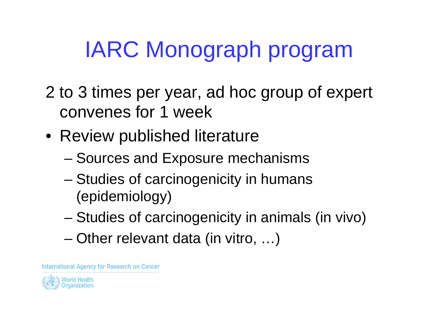# IARC Monograph program

- 2 to 3 times per year, ad hoc group of expert convenes for 1 week
- Review published literature
	- –– Sources and Exposure mechanisms
	- – Studies of carcinogenicity in humans (epidemiology)
	- –Studies of carcinogenicity in animals (in vivo)
	- –Other relevant data (in vitro, …)

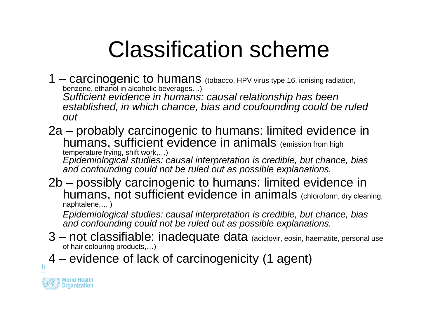# Classification scheme

1 – carcinogenic to humans (tobacco, HPV virus type 16, ionising radiation, benzene, ethanol in alcoholic beverages…)

 Sufficient evidence in humans: causal relationship has been established, in which chance, bias and coufounding could be ruled out

2a – probably carcinogenic to humans: limited evidence in humans, sufficient evidence in animals (emission from high

 temperature frying, shift work,…) Epidemiological studies: causal interpretation is credible, but chance, bias and confounding could not be ruled out as possible explanations.

2b – possibly carcinogenic to humans: limited evidence in humans, not sufficient evidence in animals (chloroform, dry cleaning, naphtalene,… )

Epidemiological studies: causal interpretation is credible, but chance, bias and confounding could not be ruled out as possible explanations.

- 3 not classifiable: inadequate data (aciclovir, eosin, haematite, personal use of hair colouring products,…)
- 4 evidence of lack of carcinogenicity (1 agent)



T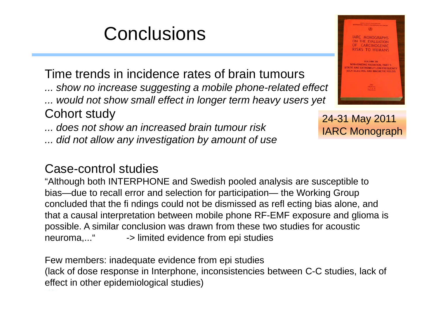## **Conclusions**

Time trends in incidence rates of brain tumours

... show no increase suggesting a mobile phone-related effect

... would not show small effect in longer term heavy users yet

#### Cohort study

... does not show an increased brain tumour risk

... did not allow any investigation by amount of use

#### Case-control studies

 "Although both INTERPHONE and Swedish pooled analysis are susceptible to bias—due to recall error and selection for participation— the Working Group<br>concluded that the fi ndings could not he dismissed as refl ecting bias alone concluded that the fi ndings could not be dismissed as refl ecting bias alone, and that a causal interpretation between mobile phone RF-EMF exposure and glioma is possible. A similar conclusion was drawn from these two studies for acoustic neuroma,..." -> limited evidence from epi studies

Few members: inadequate evidence from epi studies (lack of dose response in Interphone, inconsistencies between C-C studies, lack of effect in other epidemiological studies)



24-31 May 2011IARC Monograph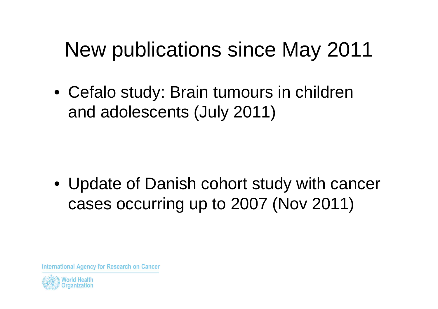## New publications since May 2011

• Cefalo study: Brain tumours in children and adolescents (July 2011)

• Update of Danish cohort study with cancer cases occurring up to 2007 (Nov 2011)

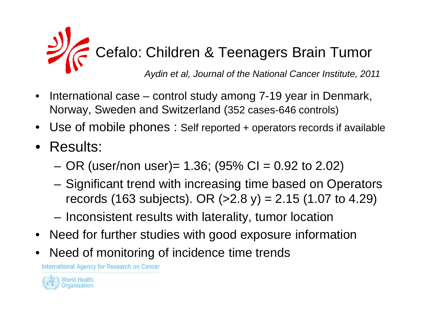

- • International case – control study among 7-19 year in Denmark, Norway, Sweden and Switzerland (352 cases-646 controls)
- $\bullet$ Use of mobile phones : Self reported + operators records if available
- Results:
	- –OR (user/non user)= 1.36; (95% CI = 0.92 to 2.02)
	- – Significant trend with increasing time based on Operators records (163 subjects). OR (>2.8 y) = 2.15 (1.07 to 4.29)
	- –Inconsistent results with laterality, tumor location
- •Need for further studies with good exposure information
- •Need of monitoring of incidence time trends

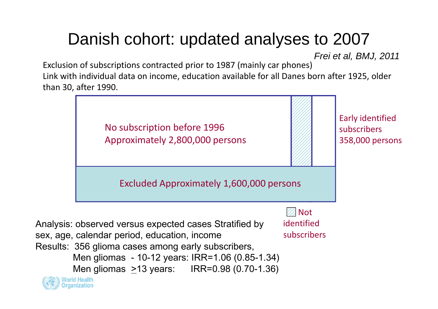### Danish cohort: updated analyses to 2007

Frei et al, BMJ, 2011

Exclusion of subscriptions contracted prior to 1987 (mainly car phones)Link with individual data on income, education available for all Danes born after 1925, older than 30, after 1990.